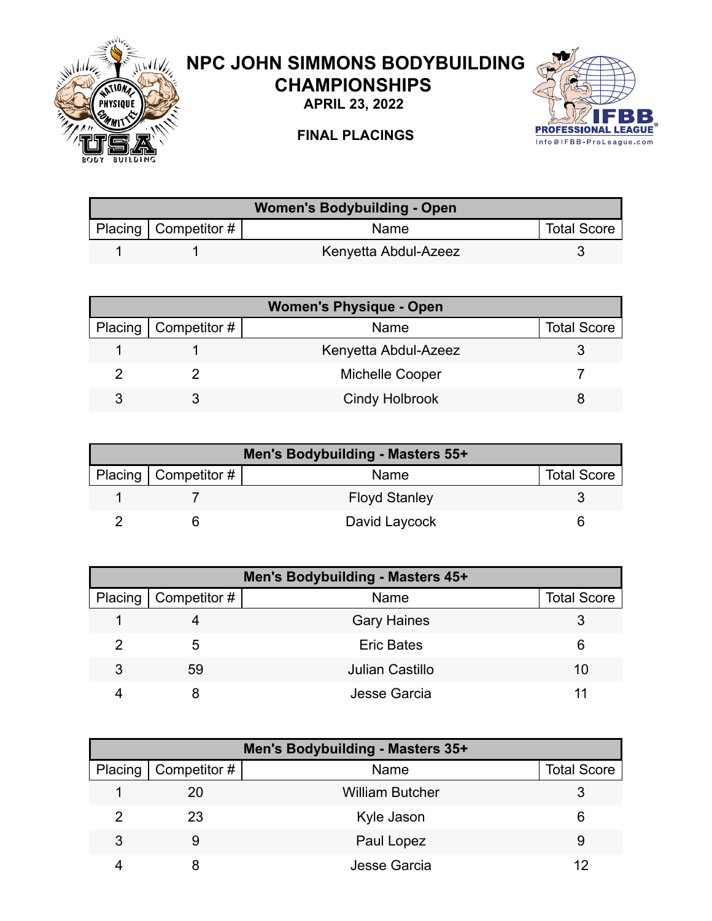

## **NPC JOHN SIMMONS BODYBUILDING CHAMPIONSHIPS**

**APRIL 23, 2022**



## **FINAL PLACINGS**

| <b>Women's Bodybuilding - Open</b> |                        |                      |                    |
|------------------------------------|------------------------|----------------------|--------------------|
|                                    | Placing   Competitor # | Name                 | <b>Total Score</b> |
|                                    |                        | Kenyetta Abdul-Azeez |                    |

| <b>Women's Physique - Open</b> |                              |                        |                    |
|--------------------------------|------------------------------|------------------------|--------------------|
|                                | Placing $\vert$ Competitor # | Name                   | <b>Total Score</b> |
|                                |                              | Kenyetta Abdul-Azeez   |                    |
|                                |                              | <b>Michelle Cooper</b> |                    |
|                                |                              | <b>Cindy Holbrook</b>  |                    |

| Men's Bodybuilding - Masters 55+ |                        |                      |                    |  |
|----------------------------------|------------------------|----------------------|--------------------|--|
|                                  | Placing   Competitor # | Name                 | <b>Total Score</b> |  |
|                                  |                        | <b>Floyd Stanley</b> |                    |  |
|                                  |                        | David Laycock        |                    |  |

| Men's Bodybuilding - Masters 45+ |                      |                        |                    |
|----------------------------------|----------------------|------------------------|--------------------|
| Placing                          | $\vert$ Competitor # | Name                   | <b>Total Score</b> |
|                                  |                      | <b>Gary Haines</b>     |                    |
|                                  | 5                    | <b>Eric Bates</b>      | 6                  |
| 3                                | 59                   | <b>Julian Castillo</b> | 10                 |
|                                  |                      | Jesse Garcia           |                    |

| Men's Bodybuilding - Masters 35+ |                        |                        |                    |  |
|----------------------------------|------------------------|------------------------|--------------------|--|
|                                  | Placing   Competitor # | Name                   | <b>Total Score</b> |  |
|                                  | 20                     | <b>William Butcher</b> |                    |  |
| 2                                | 23                     | Kyle Jason             | 6                  |  |
| 3                                | 9                      | Paul Lopez             | 9                  |  |
|                                  |                        | Jesse Garcia           |                    |  |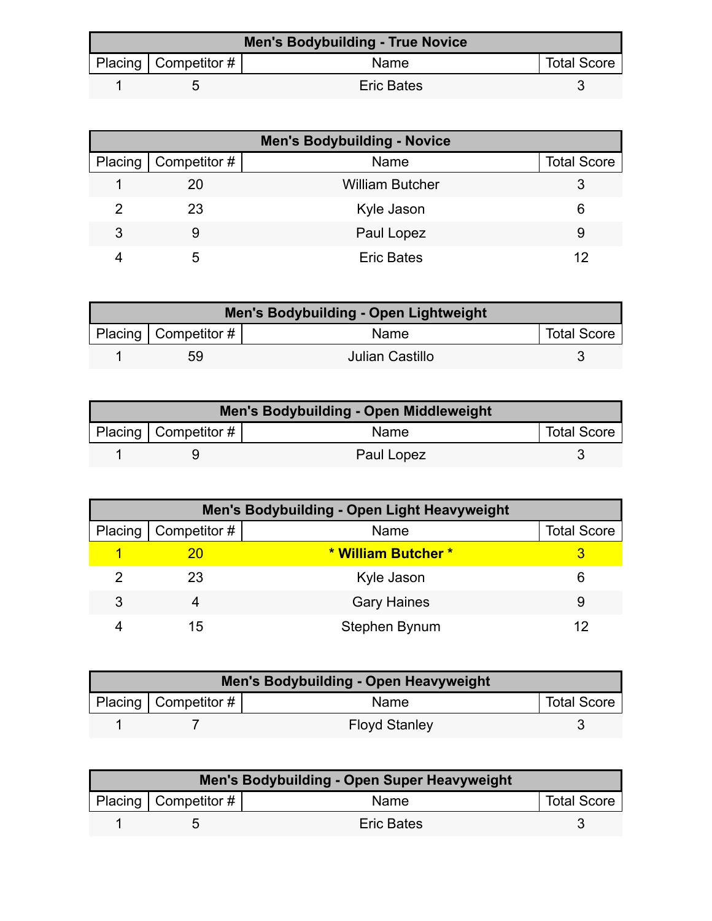| <b>Men's Bodybuilding - True Novice</b> |                          |                   |                    |  |
|-----------------------------------------|--------------------------|-------------------|--------------------|--|
|                                         | Placing   Competitor $#$ | Name              | <b>Total Score</b> |  |
|                                         |                          | <b>Eric Bates</b> |                    |  |

| <b>Men's Bodybuilding - Novice</b> |                        |                        |                    |
|------------------------------------|------------------------|------------------------|--------------------|
|                                    | Placing   Competitor # | Name                   | <b>Total Score</b> |
|                                    | 20                     | <b>William Butcher</b> |                    |
|                                    | 23                     | Kyle Jason             | 6                  |
| 3                                  |                        | Paul Lopez             | 9                  |
|                                    | :5                     | <b>Eric Bates</b>      | 12                 |

| <b>Men's Bodybuilding - Open Lightweight</b> |                        |                 |                    |  |
|----------------------------------------------|------------------------|-----------------|--------------------|--|
|                                              | Placing   Competitor # | <b>Name</b>     | <b>Total Score</b> |  |
|                                              | 59                     | Julian Castillo |                    |  |

| Men's Bodybuilding - Open Middleweight |                          |            |                    |  |
|----------------------------------------|--------------------------|------------|--------------------|--|
|                                        | Placing   Competitor $#$ | Name       | <b>Total Score</b> |  |
|                                        |                          | Paul Lopez |                    |  |

|   | Men's Bodybuilding - Open Light Heavyweight |                     |                    |  |  |
|---|---------------------------------------------|---------------------|--------------------|--|--|
|   | Placing   Competitor #                      | Name                | <b>Total Score</b> |  |  |
|   | 20                                          | * William Butcher * |                    |  |  |
|   | 23                                          | Kyle Jason          | 6                  |  |  |
| 3 |                                             | <b>Gary Haines</b>  | 9                  |  |  |
|   | 15                                          | Stephen Bynum       |                    |  |  |

| Men's Bodybuilding - Open Heavyweight |                           |                      |                    |  |
|---------------------------------------|---------------------------|----------------------|--------------------|--|
|                                       | Placing   Competitor $\#$ | Name                 | <b>Total Score</b> |  |
|                                       |                           | <b>Floyd Stanley</b> |                    |  |

| Men's Bodybuilding - Open Super Heavyweight |                        |                   |                    |  |
|---------------------------------------------|------------------------|-------------------|--------------------|--|
|                                             | Placing   Competitor # | Name              | <b>Total Score</b> |  |
|                                             |                        | <b>Eric Bates</b> |                    |  |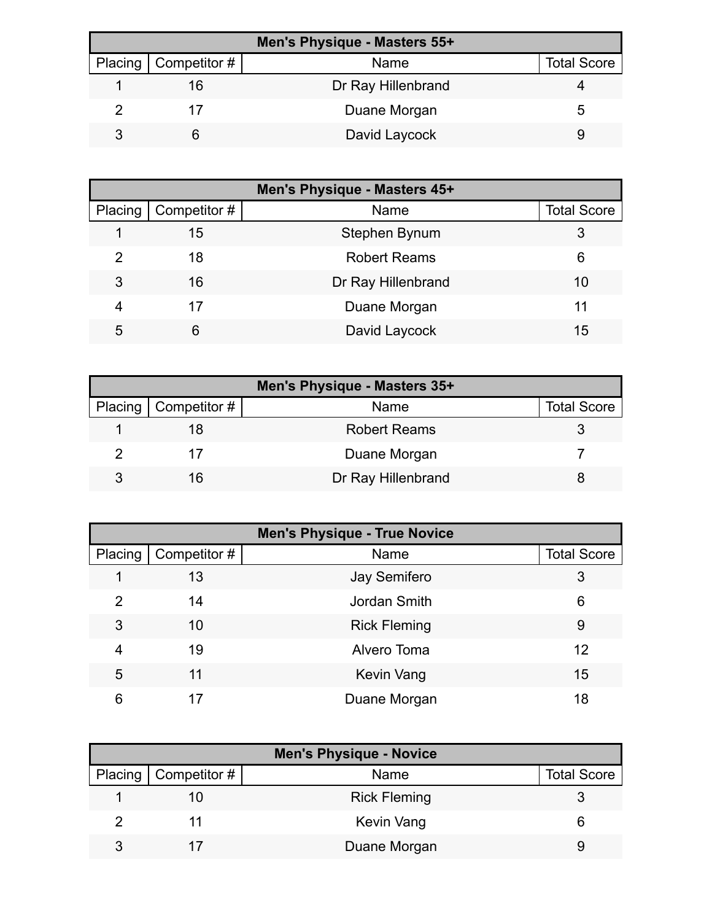| Men's Physique - Masters 55+ |                        |                    |                    |  |
|------------------------------|------------------------|--------------------|--------------------|--|
|                              | Placing   Competitor # | Name               | <b>Total Score</b> |  |
|                              | 16                     | Dr Ray Hillenbrand |                    |  |
|                              |                        | Duane Morgan       |                    |  |
|                              |                        | David Laycock      |                    |  |

| Men's Physique - Masters 45+ |              |                     |                    |
|------------------------------|--------------|---------------------|--------------------|
| Placing                      | Competitor # | Name                | <b>Total Score</b> |
|                              | 15           | Stephen Bynum       |                    |
| 2                            | 18           | <b>Robert Reams</b> | 6                  |
| 3                            | 16           | Dr Ray Hillenbrand  | 10                 |
| 4                            | 17           | Duane Morgan        | 11                 |
| 5                            | 6            | David Laycock       | 15                 |

| Men's Physique - Masters 35+ |                              |                     |                    |
|------------------------------|------------------------------|---------------------|--------------------|
|                              | Placing $\vert$ Competitor # | <b>Name</b>         | <b>Total Score</b> |
|                              |                              | <b>Robert Reams</b> |                    |
|                              |                              | Duane Morgan        |                    |
| ঽ                            | 16                           | Dr Ray Hillenbrand  |                    |

| <b>Men's Physique - True Novice</b> |              |                     |                    |
|-------------------------------------|--------------|---------------------|--------------------|
| Placing                             | Competitor # | Name                | <b>Total Score</b> |
|                                     | 13           | <b>Jay Semifero</b> | 3                  |
| $\mathcal{P}$                       | 14           | Jordan Smith        | 6                  |
| 3                                   | 10           | <b>Rick Fleming</b> | 9                  |
| 4                                   | 19           | Alvero Toma         | 12                 |
| 5                                   | 11           | <b>Kevin Vang</b>   | 15                 |
| 6                                   | 17           | Duane Morgan        | 18                 |

| <b>Men's Physique - Novice</b> |                     |                    |  |  |
|--------------------------------|---------------------|--------------------|--|--|
| Placing   Competitor #         | Name                | <b>Total Score</b> |  |  |
|                                | <b>Rick Fleming</b> |                    |  |  |
|                                | Kevin Vang          |                    |  |  |
|                                | Duane Morgan        |                    |  |  |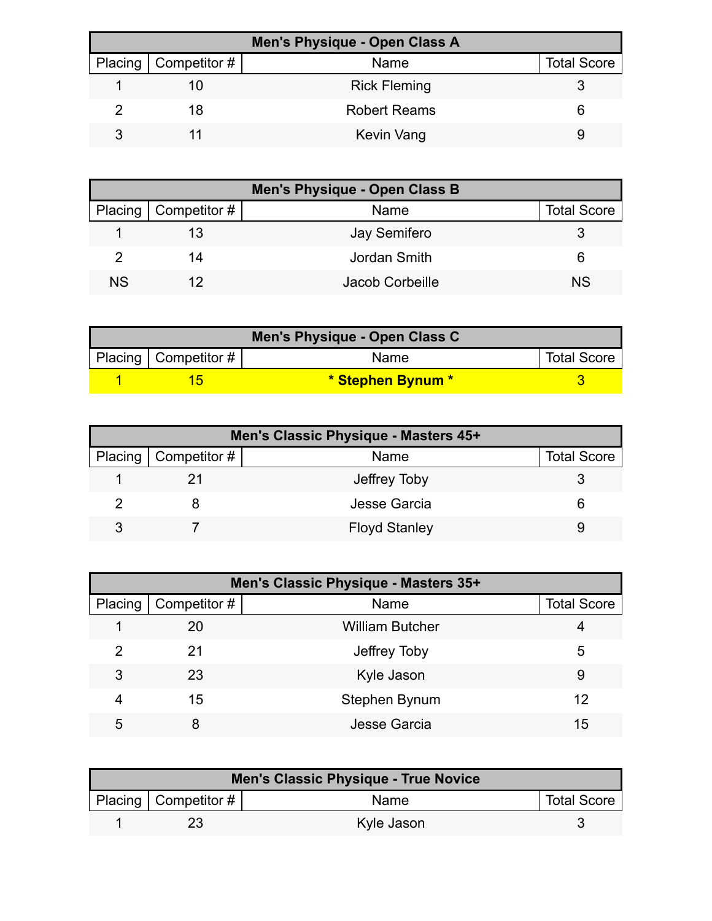| Men's Physique - Open Class A |                        |                     |                    |  |
|-------------------------------|------------------------|---------------------|--------------------|--|
|                               | Placing   Competitor # | <b>Name</b>         | <b>Total Score</b> |  |
|                               | 10                     | <b>Rick Fleming</b> |                    |  |
|                               | 18                     | <b>Robert Reams</b> |                    |  |
|                               |                        | Kevin Vang          |                    |  |

| Men's Physique - Open Class B |                        |                     |                    |
|-------------------------------|------------------------|---------------------|--------------------|
|                               | Placing   Competitor # | Name                | <b>Total Score</b> |
|                               |                        | <b>Jay Semifero</b> |                    |
|                               | 14                     | Jordan Smith        | 6                  |
| <b>NS</b>                     |                        | Jacob Corbeille     | <b>NS</b>          |

| Men's Physique - Open Class C |                           |                   |                    |  |
|-------------------------------|---------------------------|-------------------|--------------------|--|
|                               | Placing   Competitor $\#$ | <b>Name</b>       | <b>Total Score</b> |  |
|                               |                           | * Stephen Bynum * |                    |  |

| Men's Classic Physique - Masters 45+ |                              |                      |                    |
|--------------------------------------|------------------------------|----------------------|--------------------|
|                                      | Placing $\vert$ Competitor # | Name                 | <b>Total Score</b> |
|                                      |                              | Jeffrey Toby         |                    |
|                                      |                              | Jesse Garcia         |                    |
|                                      |                              | <b>Floyd Stanley</b> |                    |

| Men's Classic Physique - Masters 35+ |              |                        |                    |  |
|--------------------------------------|--------------|------------------------|--------------------|--|
| Placing                              | Competitor # | Name                   | <b>Total Score</b> |  |
|                                      | 20           | <b>William Butcher</b> |                    |  |
| 2                                    | 21           | Jeffrey Toby           | 5                  |  |
| 3                                    | 23           | Kyle Jason             | 9                  |  |
| 4                                    | 15           | Stephen Bynum          | 12                 |  |
| 5                                    |              | Jesse Garcia           | 15                 |  |

| Men's Classic Physique - True Novice |                                      |             |                    |  |
|--------------------------------------|--------------------------------------|-------------|--------------------|--|
|                                      | Placing $\vert$ Competitor # $\vert$ | <b>Name</b> | <b>Total Score</b> |  |
|                                      |                                      | Kyle Jason  |                    |  |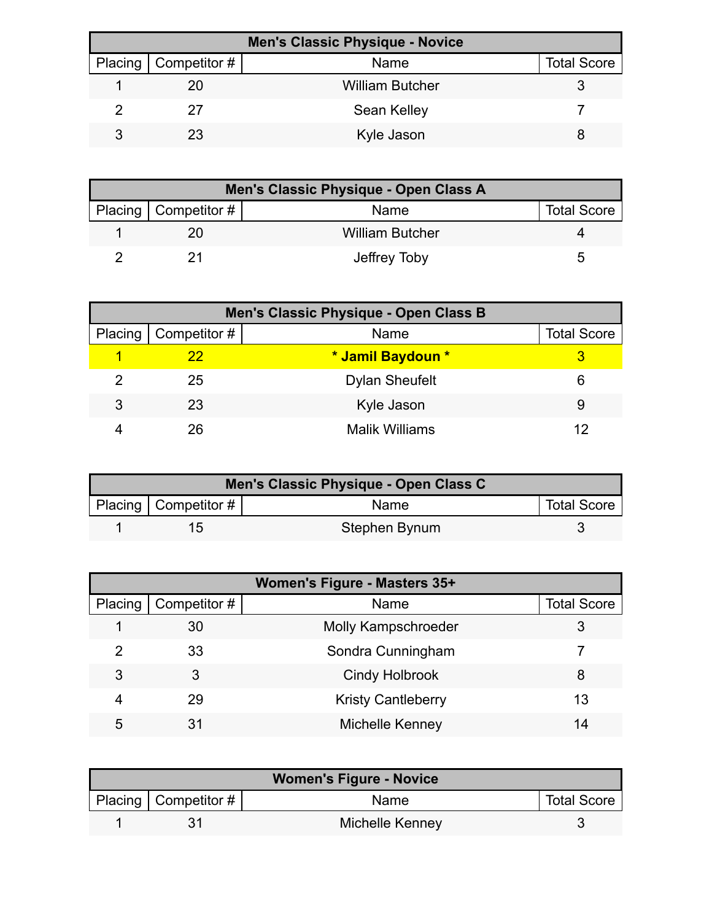| <b>Men's Classic Physique - Novice</b> |                              |                        |                    |
|----------------------------------------|------------------------------|------------------------|--------------------|
|                                        | Placing $\vert$ Competitor # | Name                   | <b>Total Score</b> |
|                                        | 20                           | <b>William Butcher</b> |                    |
|                                        | 27                           | Sean Kelley            |                    |
|                                        | 23                           | Kyle Jason             |                    |

| Men's Classic Physique - Open Class A |                          |                        |                    |  |
|---------------------------------------|--------------------------|------------------------|--------------------|--|
|                                       | Placing   Competitor $#$ | Name                   | <b>Total Score</b> |  |
|                                       |                          | <b>William Butcher</b> |                    |  |
|                                       |                          | Jeffrey Toby           |                    |  |

|   | Men's Classic Physique - Open Class B |                       |                    |  |  |
|---|---------------------------------------|-----------------------|--------------------|--|--|
|   | Placing   Competitor #                | Name                  | <b>Total Score</b> |  |  |
|   | 22                                    | * Jamil Baydoun *     |                    |  |  |
|   | 25                                    | <b>Dylan Sheufelt</b> | 6                  |  |  |
| 3 | 23                                    | Kyle Jason            | 9                  |  |  |
|   | 26                                    | <b>Malik Williams</b> | 12                 |  |  |

| Men's Classic Physique - Open Class C |                          |               |                    |  |
|---------------------------------------|--------------------------|---------------|--------------------|--|
|                                       | Placing   Competitor $#$ | Name          | <b>Total Score</b> |  |
|                                       | 1 <sub>2</sub>           | Stephen Bynum |                    |  |

| Women's Figure - Masters 35+ |              |                            |                    |
|------------------------------|--------------|----------------------------|--------------------|
| Placing                      | Competitor # | Name                       | <b>Total Score</b> |
|                              | 30           | <b>Molly Kampschroeder</b> |                    |
|                              | 33           | Sondra Cunningham          |                    |
| 3                            | 3            | <b>Cindy Holbrook</b>      | 8                  |
| 4                            | 29           | <b>Kristy Cantleberry</b>  | 13                 |
| 5                            |              | Michelle Kenney            | 14                 |

| <b>Women's Figure - Novice</b> |                          |                 |                    |
|--------------------------------|--------------------------|-----------------|--------------------|
|                                | Placing   Competitor $#$ | <b>Name</b>     | <b>Total Score</b> |
|                                |                          | Michelle Kenney |                    |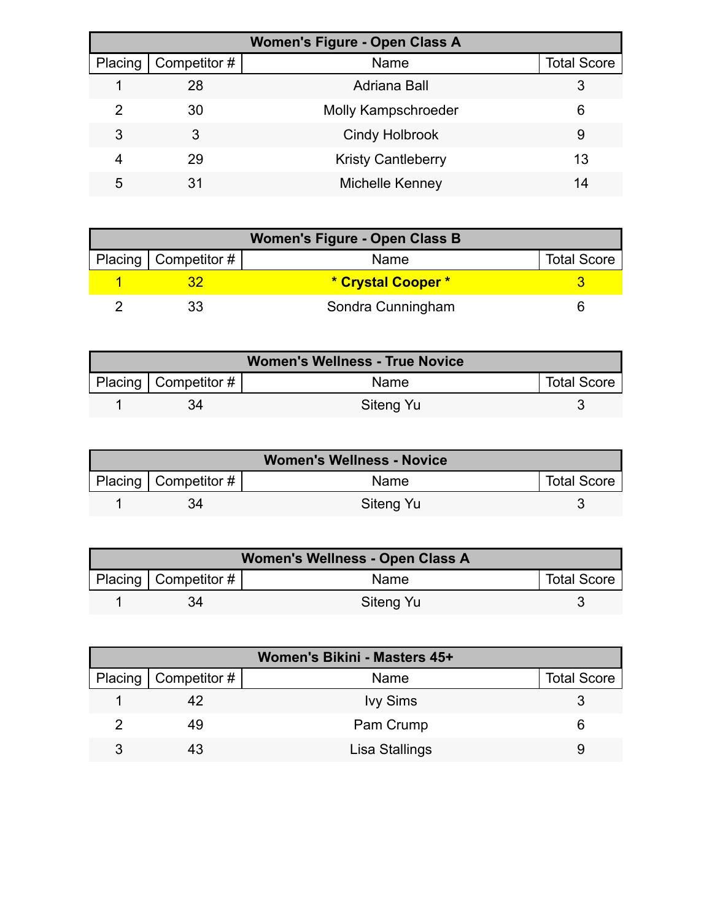| <b>Women's Figure - Open Class A</b> |              |                            |                    |  |
|--------------------------------------|--------------|----------------------------|--------------------|--|
| Placing                              | Competitor # | Name                       | <b>Total Score</b> |  |
|                                      | 28           | Adriana Ball               | 3                  |  |
| 2                                    | 30           | <b>Molly Kampschroeder</b> | 6                  |  |
| 3                                    | 3            | <b>Cindy Holbrook</b>      | 9                  |  |
| 4                                    | 29           | <b>Kristy Cantleberry</b>  | 13                 |  |
| 5                                    | 31           | Michelle Kenney            | 14                 |  |

| <b>Women's Figure - Open Class B</b> |                        |                    |                    |
|--------------------------------------|------------------------|--------------------|--------------------|
|                                      | Placing   Competitor # | Name               | <b>Total Score</b> |
|                                      |                        | * Crystal Cooper * |                    |
|                                      |                        | Sondra Cunningham  |                    |

| <b>Women's Wellness - True Novice</b> |                          |             |                    |
|---------------------------------------|--------------------------|-------------|--------------------|
|                                       | Placing   Competitor $#$ | <b>Name</b> | <b>Total Score</b> |
|                                       |                          | Siteng Yu   |                    |

| <b>Women's Wellness - Novice</b> |                        |             |                    |
|----------------------------------|------------------------|-------------|--------------------|
|                                  | Placing   Competitor # | <b>Name</b> | <b>Total Score</b> |
|                                  |                        | Siteng Yu   |                    |

| Women's Wellness - Open Class A |                           |           |                    |
|---------------------------------|---------------------------|-----------|--------------------|
|                                 | Placing   Competitor $\#$ | Name      | <b>Total Score</b> |
|                                 | 34                        | Siteng Yu |                    |

|   | Women's Bikini - Masters 45+ |                 |                    |  |  |
|---|------------------------------|-----------------|--------------------|--|--|
|   | Placing   Competitor #       | Name            | <b>Total Score</b> |  |  |
|   | 42                           | <b>Ivy Sims</b> |                    |  |  |
|   | 49                           | Pam Crump       |                    |  |  |
| 3 | 43                           | Lisa Stallings  |                    |  |  |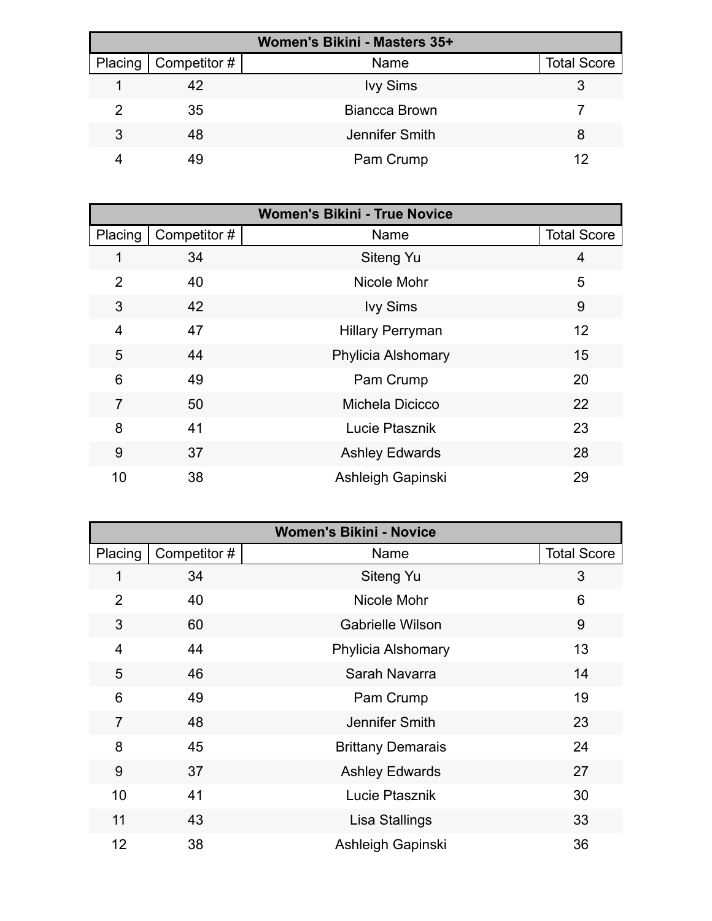| Women's Bikini - Masters 35+ |              |                      |                    |  |
|------------------------------|--------------|----------------------|--------------------|--|
| Placing                      | Competitor # | Name                 | <b>Total Score</b> |  |
|                              | 42           | <b>Ivy Sims</b>      |                    |  |
| 2                            | 35           | <b>Biancca Brown</b> |                    |  |
| 3                            | 48           | Jennifer Smith       | 8                  |  |
|                              | 49           | Pam Crump            | 12                 |  |

| <b>Women's Bikini - True Novice</b> |              |                           |                    |
|-------------------------------------|--------------|---------------------------|--------------------|
| Placing                             | Competitor # | Name                      | <b>Total Score</b> |
|                                     | 34           | <b>Siteng Yu</b>          | 4                  |
| $\overline{2}$                      | 40           | Nicole Mohr               | 5                  |
| 3                                   | 42           | <b>Ivy Sims</b>           | 9                  |
| 4                                   | 47           | <b>Hillary Perryman</b>   | 12                 |
| 5                                   | 44           | <b>Phylicia Alshomary</b> | 15                 |
| 6                                   | 49           | Pam Crump                 | 20                 |
| $\overline{7}$                      | 50           | Michela Dicicco           | 22                 |
| 8                                   | 41           | Lucie Ptasznik            | 23                 |
| 9                                   | 37           | <b>Ashley Edwards</b>     | 28                 |
| 10                                  | 38           | Ashleigh Gapinski         | 29                 |

| <b>Women's Bikini - Novice</b> |              |                          |                    |
|--------------------------------|--------------|--------------------------|--------------------|
| Placing                        | Competitor # | Name                     | <b>Total Score</b> |
| 1                              | 34           | Siteng Yu                | 3                  |
| $\overline{2}$                 | 40           | Nicole Mohr              | 6                  |
| 3                              | 60           | <b>Gabrielle Wilson</b>  | 9                  |
| $\overline{4}$                 | 44           | Phylicia Alshomary       | 13                 |
| 5                              | 46           | Sarah Navarra            | 14                 |
| 6                              | 49           | Pam Crump                | 19                 |
| $\overline{7}$                 | 48           | Jennifer Smith           | 23                 |
| 8                              | 45           | <b>Brittany Demarais</b> | 24                 |
| 9                              | 37           | <b>Ashley Edwards</b>    | 27                 |
| 10                             | 41           | Lucie Ptasznik           | 30                 |
| 11                             | 43           | Lisa Stallings           | 33                 |
| 12                             | 38           | Ashleigh Gapinski        | 36                 |